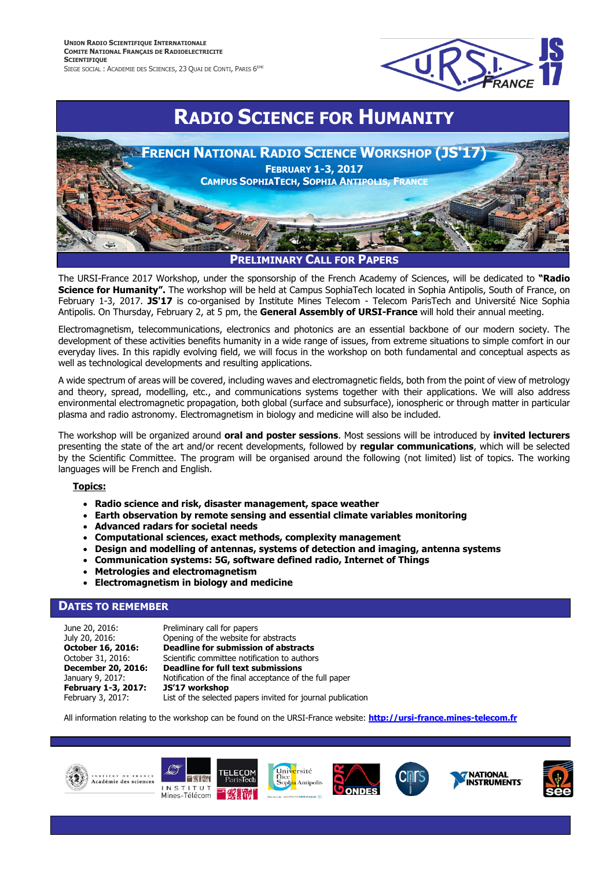

# **RADIO SCIENCE FOR HUMANITY**



The URSI-France 2017 Workshop, under the sponsorship of the French Academy of Sciences, will be dedicated to **"Radio Science for Humanity".** The workshop will be held at Campus SophiaTech located in Sophia Antipolis, South of France, on February 1-3, 2017. **JS'17** is co-organised by Institute Mines Telecom - Telecom ParisTech and Université Nice Sophia Antipolis. On Thursday, February 2, at 5 pm, the **General Assembly of URSI-France** will hold their annual meeting.

Electromagnetism, telecommunications, electronics and photonics are an essential backbone of our modern society. The development of these activities benefits humanity in a wide range of issues, from extreme situations to simple comfort in our everyday lives. In this rapidly evolving field, we will focus in the workshop on both fundamental and conceptual aspects as well as technological developments and resulting applications.

A wide spectrum of areas will be covered, including waves and electromagnetic fields, both from the point of view of metrology and theory, spread, modelling, etc., and communications systems together with their applications. We will also address environmental electromagnetic propagation, both global (surface and subsurface), ionospheric or through matter in particular plasma and radio astronomy. Electromagnetism in biology and medicine will also be included.

The workshop will be organized around **oral and poster sessions**. Most sessions will be introduced by **invited lecturers** presenting the state of the art and/or recent developments, followed by **regular communications**, which will be selected by the Scientific Committee. The program will be organised around the following (not limited) list of topics. The working languages will be French and English.

#### **Topics:**

- **Radio science and risk, disaster management, space weather**
- **Earth observation by remote sensing and essential climate variables monitoring**
- **Advanced radars for societal needs**
- **Computational sciences, exact methods, complexity management**
- **Design and modelling of antennas, systems of detection and imaging, antenna systems**
- **Communication systems: 5G, software defined radio, Internet of Things**
- **Metrologies and electromagnetism**
- **Electromagnetism in biology and medicine**

## **DATES TO REMEMBER**

| June 20, 2016:      | Preliminary call for papers                                 |
|---------------------|-------------------------------------------------------------|
| July 20, 2016:      | Opening of the website for abstracts                        |
| October 16, 2016:   | Deadline for submission of abstracts                        |
| October 31, 2016:   | Scientific committee notification to authors                |
| December 20, 2016:  | Deadline for full text submissions                          |
| January 9, 2017:    | Notification of the final acceptance of the full paper      |
| February 1-3, 2017: | JS'17 workshop                                              |
| February 3, 2017:   | List of the selected papers invited for journal publication |

All information relating to the workshop can be found on the URSI-France website: **[http://ursi-france.mines-telecom.fr](http://ursi-france.mines-telecom.fr/)**